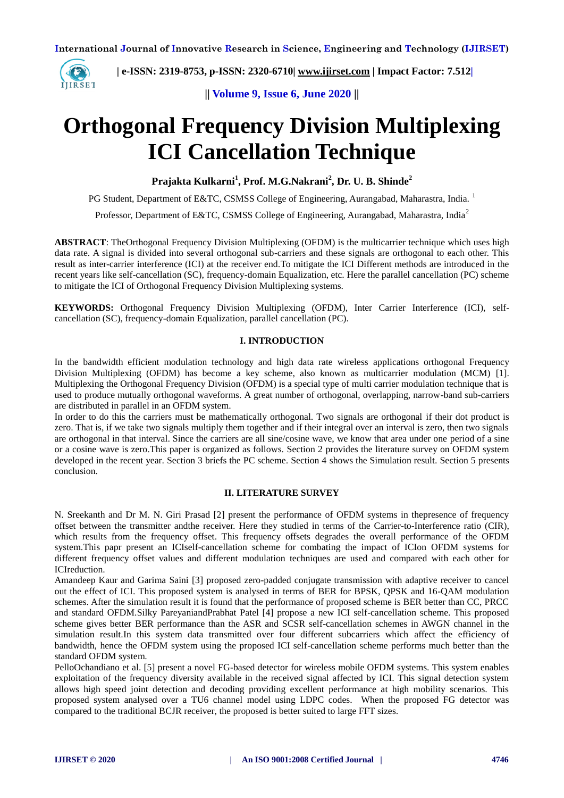

 **| e-ISSN: 2319-8753, p-ISSN: 2320-6710| [www.ijirset.com](http://www.ijirset.com/) | Impact Factor: 7.512|**

**|| Volume 9, Issue 6, June 2020 ||** 

# **Orthogonal Frequency Division Multiplexing ICI Cancellation Technique**

**Prajakta Kulkarni<sup>1</sup> , Prof. M.G.Nakrani<sup>2</sup> , Dr. U. B. Shinde<sup>2</sup>**

PG Student, Department of E&TC, CSMSS College of Engineering, Aurangabad, Maharastra, India.<sup>1</sup>

Professor, Department of E&TC, CSMSS College of Engineering, Aurangabad, Maharastra, India<sup>2</sup>

**ABSTRACT**: TheOrthogonal Frequency Division Multiplexing (OFDM) is the multicarrier technique which uses high data rate. A signal is divided into several orthogonal sub-carriers and these signals are orthogonal to each other. This result as inter-carrier interference (ICI) at the receiver end.To mitigate the ICI Different methods are introduced in the recent years like self-cancellation (SC), frequency-domain Equalization, etc. Here the parallel cancellation (PC) scheme to mitigate the ICI of Orthogonal Frequency Division Multiplexing systems.

**KEYWORDS:** Orthogonal Frequency Division Multiplexing (OFDM), Inter Carrier Interference (ICI), selfcancellation (SC), frequency-domain Equalization, parallel cancellation (PC).

# **I. INTRODUCTION**

In the bandwidth efficient modulation technology and high data rate wireless applications orthogonal Frequency Division Multiplexing (OFDM) has become a key scheme, also known as multicarrier modulation (MCM) [1]. Multiplexing the Orthogonal Frequency Division (OFDM) is a special type of multi carrier modulation technique that is used to produce mutually orthogonal waveforms. A great number of orthogonal, overlapping, narrow-band sub-carriers are distributed in parallel in an OFDM system.

In order to do this the carriers must be mathematically orthogonal. Two signals are orthogonal if their dot product is zero. That is, if we take two signals multiply them together and if their integral over an interval is zero, then two signals are orthogonal in that interval. Since the carriers are all sine/cosine wave, we know that area under one period of a sine or a cosine wave is zero.This paper is organized as follows. Section 2 provides the literature survey on OFDM system developed in the recent year. Section 3 briefs the PC scheme. Section 4 shows the Simulation result. Section 5 presents conclusion.

#### **II. LITERATURE SURVEY**

N. Sreekanth and Dr M. N. Giri Prasad [2] present the performance of OFDM systems in thepresence of frequency offset between the transmitter andthe receiver. Here they studied in terms of the Carrier-to-Interference ratio (CIR), which results from the frequency offset. This frequency offsets degrades the overall performance of the OFDM system.This papr present an ICIself-cancellation scheme for combating the impact of ICIon OFDM systems for different frequency offset values and different modulation techniques are used and compared with each other for ICIreduction.

Amandeep Kaur and Garima Saini [3] proposed zero-padded conjugate transmission with adaptive receiver to cancel out the effect of ICI. This proposed system is analysed in terms of BER for BPSK, QPSK and 16-QAM modulation schemes. After the simulation result it is found that the performance of proposed scheme is BER better than CC, PRCC and standard OFDM.Silky PareyaniandPrabhat Patel [4] propose a new ICI self-cancellation scheme. This proposed scheme gives better BER performance than the ASR and SCSR self-cancellation schemes in AWGN channel in the simulation result.In this system data transmitted over four different subcarriers which affect the efficiency of bandwidth, hence the OFDM system using the proposed ICI self-cancellation scheme performs much better than the standard OFDM system.

PelloOchandiano et al. [5] present a novel FG-based detector for wireless mobile OFDM systems. This system enables exploitation of the frequency diversity available in the received signal affected by ICI. This signal detection system allows high speed joint detection and decoding providing excellent performance at high mobility scenarios. This proposed system analysed over a TU6 channel model using LDPC codes. When the proposed FG detector was compared to the traditional BCJR receiver, the proposed is better suited to large FFT sizes.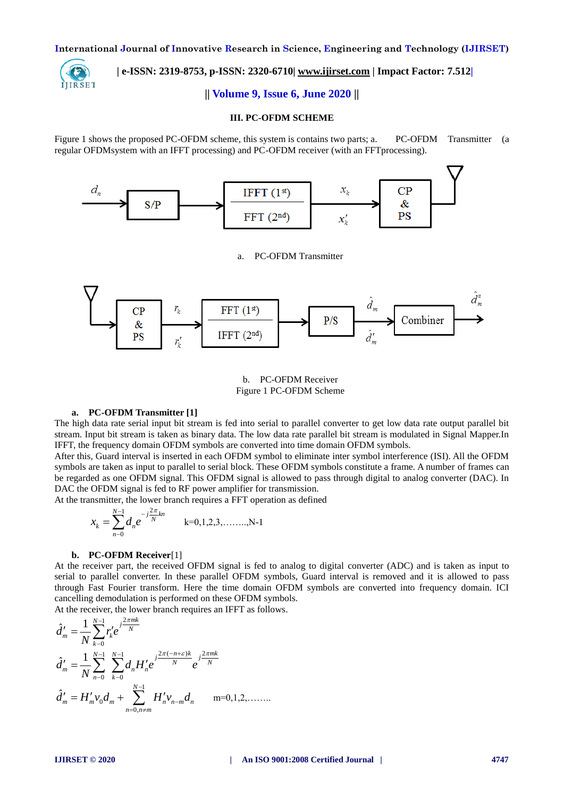

# **| e-ISSN: 2319-8753, p-ISSN: 2320-6710| [www.ijirset.com](http://www.ijirset.com/) | Impact Factor: 7.512|**

## **|| Volume 9, Issue 6, June 2020 ||**

#### **III. PC-OFDM SCHEME**

Figure 1 shows the proposed PC-OFDM scheme, this system is contains two parts; a. PC-OFDM Transmitter (a regular OFDMsystem with an IFFT processing) and PC-OFDM receiver (with an FFTprocessing).



## a. PC-OFDM Transmitter



b. PC-OFDM Receiver Figure 1 PC-OFDM Scheme

#### **a. PC-OFDM Transmitter [1]**

The high data rate serial input bit stream is fed into serial to parallel converter to get low data rate output parallel bit stream. Input bit stream is taken as binary data. The low data rate parallel bit stream is modulated in Signal Mapper.In IFFT, the frequency domain OFDM symbols are converted into time domain OFDM symbols.

After this, Guard interval is inserted in each OFDM symbol to eliminate inter symbol interference (ISI). All the OFDM symbols are taken as input to parallel to serial block. These OFDM symbols constitute a frame. A number of frames can be regarded as one OFDM signal. This OFDM signal is allowed to pass through digital to analog converter (DAC). In DAC the OFDM signal is fed to RF power amplifier for transmission.

At the transmitter, the lower branch requires a FFT operation as defined

$$
x_k = \sum_{n=0}^{N-1} d_n e^{-j\frac{2\pi}{N}kn} \qquad k=0,1,2,3,\ldots,N-1
$$

#### **b. PC-OFDM Receiver**[1]

At the receiver part, the received OFDM signal is fed to analog to digital converter (ADC) and is taken as input to serial to parallel converter. In these parallel OFDM symbols, Guard interval is removed and it is allowed to pass through Fast Fourier transform. Here the time domain OFDM symbols are converted into frequency domain. ICI cancelling demodulation is performed on these OFDM symbols.

At the receiver, the lower branch requires an IFFT as follows.  $\hat{d}'_m = \frac{1}{N} \sum_{i=1}^{N-1} r'_k e^{j\frac{2\pi mk}{N}}$ 

0 *m k k N* 1 1 2 ( ) 2 0 0 1 ˆ *N N n k mk j j N N m n n n k d d H e e N* 1 0 0, ˆ *N m m m n n m n n n m d H v d H v d* m=0,1,2,……..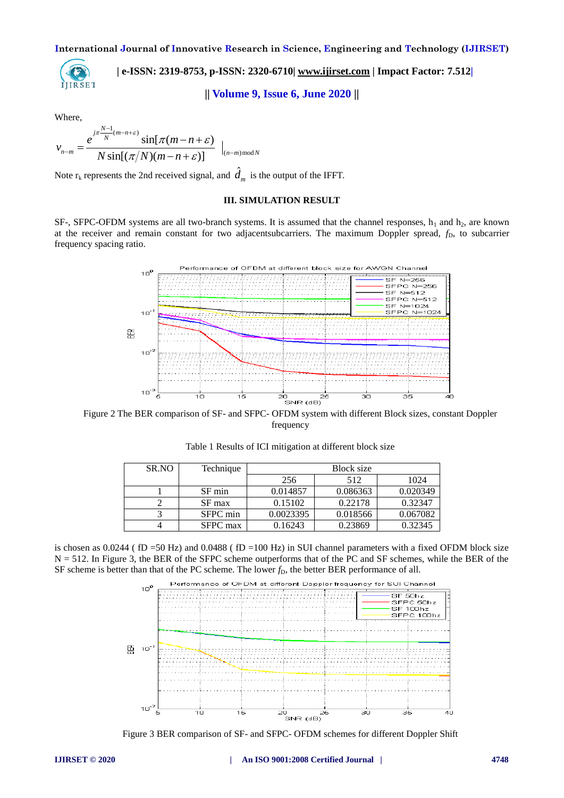**| e-ISSN: 2319-8753, p-ISSN: 2320-6710| [www.ijirset.com](http://www.ijirset.com/) | Impact Factor: 7.512|** IJIRSET

**|| Volume 9, Issue 6, June 2020 ||** 

Where,

Where,  
\n
$$
v_{n-m} = \frac{e^{-j\pi \frac{N-1}{N}(m-n+\varepsilon)}}{N \sin[(\pi/N)(m-n+\varepsilon)]} \Big|_{(n-m)\text{ mod } N}
$$

Note  $r_k$  represents the 2nd received signal, and  $\hat{d}_m$  is the output of the IFFT.

# **III. SIMULATION RESULT**

SF-, SFPC-OFDM systems are all two-branch systems. It is assumed that the channel responses,  $h_1$  and  $h_2$ , are known at the receiver and remain constant for two adjacentsubcarriers. The maximum Doppler spread,  $f<sub>D</sub>$ , to subcarrier frequency spacing ratio.



Figure 2 The BER comparison of SF- and SFPC- OFDM system with different Block sizes, constant Doppler frequency

| SR.NO | Technique | <b>Block</b> size |          |          |
|-------|-----------|-------------------|----------|----------|
|       |           | 256               | 512      | 1024     |
|       | SF min    | 0.014857          | 0.086363 | 0.020349 |
|       | SF max    | 0.15102           | 0.22178  | 0.32347  |
|       | SFPC min  | 0.0023395         | 0.018566 | 0.067082 |
|       | SFPC max  | 0.16243           | 0.23869  | 0.32345  |

Table 1 Results of ICI mitigation at different block size

is chosen as  $0.0244$  (fD =50 Hz) and  $0.0488$  (fD =100 Hz) in SUI channel parameters with a fixed OFDM block size N = 512. In Figure 3, the BER of the SFPC scheme outperforms that of the PC and SF schemes, while the BER of the SF scheme is better than that of the PC scheme. The lower  $f<sub>D</sub>$ , the better BER performance of all.



Figure 3 BER comparison of SF- and SFPC- OFDM schemes for different Doppler Shift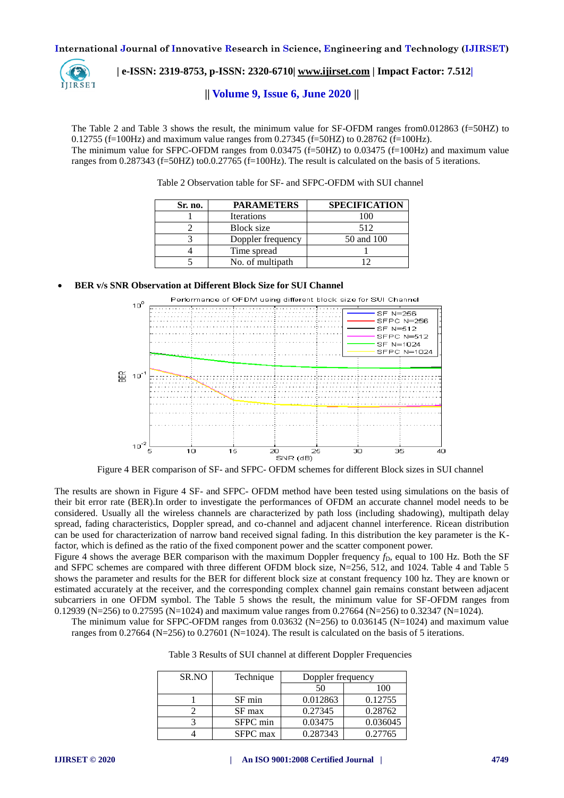

 **| e-ISSN: 2319-8753, p-ISSN: 2320-6710| [www.ijirset.com](http://www.ijirset.com/) | Impact Factor: 7.512|**

**|| Volume 9, Issue 6, June 2020 ||** 

The Table 2 and Table 3 shows the result, the minimum value for SF-OFDM ranges from0.012863 (f=50HZ) to 0.12755 (f=100Hz) and maximum value ranges from 0.27345 (f=50HZ) to 0.28762 (f=100Hz). The minimum value for SFPC-OFDM ranges from 0.03475 (f=50HZ) to 0.03475 (f=100Hz) and maximum value ranges from 0.287343 (f=50HZ) to0.0.27765 (f=100Hz). The result is calculated on the basis of 5 iterations.

| Sr. no. | <b>PARAMETERS</b> | <b>SPECIFICATION</b> |
|---------|-------------------|----------------------|
|         | <b>Iterations</b> | 100                  |
|         | Block size        | 512                  |
|         | Doppler frequency | 50 and 100           |
|         | Time spread       |                      |
|         | No. of multipath  |                      |

Table 2 Observation table for SF- and SFPC-OFDM with SUI channel

# **BER v/s SNR Observation at Different Block Size for SUI Channel**



Figure 4 BER comparison of SF- and SFPC- OFDM schemes for different Block sizes in SUI channel

The results are shown in Figure 4 SF- and SFPC- OFDM method have been tested using simulations on the basis of their bit error rate (BER).In order to investigate the performances of OFDM an accurate channel model needs to be considered. Usually all the wireless channels are characterized by path loss (including shadowing), multipath delay spread, fading characteristics, Doppler spread, and co-channel and adjacent channel interference. Ricean distribution can be used for characterization of narrow band received signal fading. In this distribution the key parameter is the Kfactor, which is defined as the ratio of the fixed component power and the scatter component power.

Figure 4 shows the average BER comparison with the maximum Doppler frequency  $f<sub>D</sub>$ , equal to 100 Hz. Both the SF and SFPC schemes are compared with three different OFDM block size, N=256, 512, and 1024. Table 4 and Table 5 shows the parameter and results for the BER for different block size at constant frequency 100 hz. They are known or estimated accurately at the receiver, and the corresponding complex channel gain remains constant between adjacent subcarriers in one OFDM symbol. The Table 5 shows the result, the minimum value for SF-OFDM ranges from 0.12939 (N=256) to 0.27595 (N=1024) and maximum value ranges from 0.27664 (N=256) to 0.32347 (N=1024).

The minimum value for SFPC-OFDM ranges from  $0.03632$  (N=256) to  $0.036145$  (N=1024) and maximum value ranges from 0.27664 (N=256) to 0.27601 (N=1024). The result is calculated on the basis of 5 iterations.

| Table 3 Results of SUI channel at different Doppler Frequencies |  |
|-----------------------------------------------------------------|--|
|-----------------------------------------------------------------|--|

| SR.NO | Technique | Doppler frequency |          |
|-------|-----------|-------------------|----------|
|       |           | 50                | 100      |
|       | SF min    | 0.012863          | 0.12755  |
|       | SF max    | 0.27345           | 0.28762  |
|       | SFPC min  | 0.03475           | 0.036045 |
|       | SFPC max  | 0.287343          | 0.27765  |